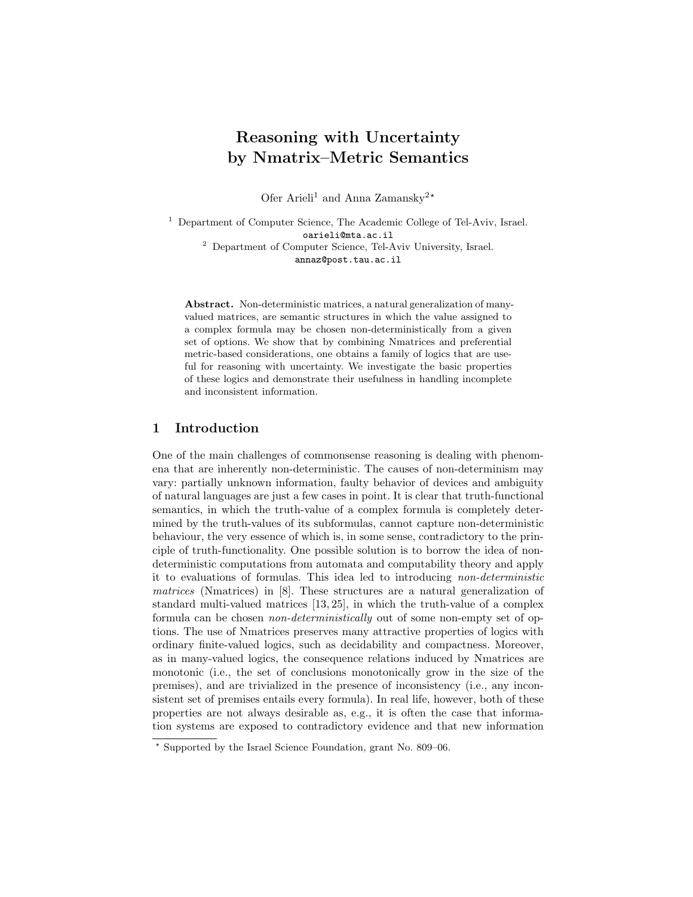# Reasoning with Uncertainty by Nmatrix–Metric Semantics

Ofer Arieli<sup>1</sup> and Anna Zamansky<sup>2\*</sup>

<sup>1</sup> Department of Computer Science, The Academic College of Tel-Aviv, Israel. oarieli@mta.ac.il <sup>2</sup> Department of Computer Science, Tel-Aviv University, Israel. annaz@post.tau.ac.il

Abstract. Non-deterministic matrices, a natural generalization of manyvalued matrices, are semantic structures in which the value assigned to a complex formula may be chosen non-deterministically from a given set of options. We show that by combining Nmatrices and preferential metric-based considerations, one obtains a family of logics that are useful for reasoning with uncertainty. We investigate the basic properties of these logics and demonstrate their usefulness in handling incomplete and inconsistent information.

# 1 Introduction

One of the main challenges of commonsense reasoning is dealing with phenomena that are inherently non-deterministic. The causes of non-determinism may vary: partially unknown information, faulty behavior of devices and ambiguity of natural languages are just a few cases in point. It is clear that truth-functional semantics, in which the truth-value of a complex formula is completely determined by the truth-values of its subformulas, cannot capture non-deterministic behaviour, the very essence of which is, in some sense, contradictory to the principle of truth-functionality. One possible solution is to borrow the idea of nondeterministic computations from automata and computability theory and apply it to evaluations of formulas. This idea led to introducing non-deterministic matrices (Nmatrices) in [8]. These structures are a natural generalization of standard multi-valued matrices [13, 25], in which the truth-value of a complex formula can be chosen non-deterministically out of some non-empty set of options. The use of Nmatrices preserves many attractive properties of logics with ordinary finite-valued logics, such as decidability and compactness. Moreover, as in many-valued logics, the consequence relations induced by Nmatrices are monotonic (i.e., the set of conclusions monotonically grow in the size of the premises), and are trivialized in the presence of inconsistency (i.e., any inconsistent set of premises entails every formula). In real life, however, both of these properties are not always desirable as, e.g., it is often the case that information systems are exposed to contradictory evidence and that new information

<sup>?</sup> Supported by the Israel Science Foundation, grant No. 809–06.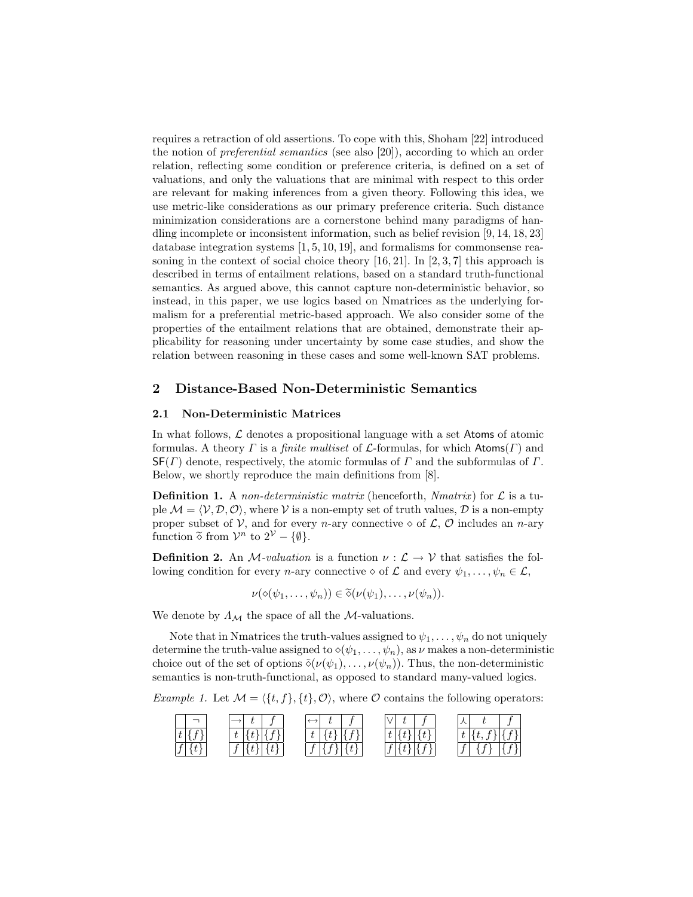requires a retraction of old assertions. To cope with this, Shoham [22] introduced the notion of preferential semantics (see also [20]), according to which an order relation, reflecting some condition or preference criteria, is defined on a set of valuations, and only the valuations that are minimal with respect to this order are relevant for making inferences from a given theory. Following this idea, we use metric-like considerations as our primary preference criteria. Such distance minimization considerations are a cornerstone behind many paradigms of handling incomplete or inconsistent information, such as belief revision [9, 14, 18, 23] database integration systems [1, 5, 10, 19], and formalisms for commonsense reasoning in the context of social choice theory  $[16, 21]$ . In  $[2, 3, 7]$  this approach is described in terms of entailment relations, based on a standard truth-functional semantics. As argued above, this cannot capture non-deterministic behavior, so instead, in this paper, we use logics based on Nmatrices as the underlying formalism for a preferential metric-based approach. We also consider some of the properties of the entailment relations that are obtained, demonstrate their applicability for reasoning under uncertainty by some case studies, and show the relation between reasoning in these cases and some well-known SAT problems.

# 2 Distance-Based Non-Deterministic Semantics

#### 2.1 Non-Deterministic Matrices

In what follows,  $\mathcal L$  denotes a propositional language with a set Atoms of atomic formulas. A theory  $\Gamma$  is a *finite multiset* of  $\mathcal{L}$ -formulas, for which Atoms( $\Gamma$ ) and  $S\mathsf{F}(T)$  denote, respectively, the atomic formulas of  $\Gamma$  and the subformulas of  $\Gamma$ . Below, we shortly reproduce the main definitions from [8].

**Definition 1.** A non-deterministic matrix (henceforth, Nmatrix) for  $\mathcal{L}$  is a tuple  $\mathcal{M} = \langle \mathcal{V}, \mathcal{D}, \mathcal{O} \rangle$ , where V is a non-empty set of truth values, D is a non-empty proper subset of V, and for every *n*-ary connective  $\diamond$  of  $\mathcal{L}, \mathcal{O}$  includes an *n*-ary function  $\delta$  from  $\mathcal{V}^n$  to  $2^{\mathcal{V}} - {\emptyset}.$ 

**Definition 2.** An *M*-valuation is a function  $\nu : \mathcal{L} \to \mathcal{V}$  that satisfies the following condition for every *n*-ary connective  $\diamond$  of  $\mathcal L$  and every  $\psi_1, \ldots, \psi_n \in \mathcal L$ ,

$$
\nu(\diamond(\psi_1,\ldots,\psi_n))\in\widetilde{\diamond}(\nu(\psi_1),\ldots,\nu(\psi_n)).
$$

We denote by  $\Lambda_M$  the space of all the M-valuations.

Note that in Nmatrices the truth-values assigned to  $\psi_1, \ldots, \psi_n$  do not uniquely determine the truth-value assigned to  $\diamond(\psi_1,\ldots,\psi_n)$ , as  $\nu$  makes a non-deterministic choice out of the set of options  $\tilde{\diamond}(\nu(\psi_1), \ldots, \nu(\psi_n))$ . Thus, the non-deterministic semantics is non-truth-functional, as opposed to standard many-valued logics.

*Example 1.* Let  $M = \{\{t, f\}, \{t\}, \emptyset\}$ , where  $\emptyset$  contains the following operators:

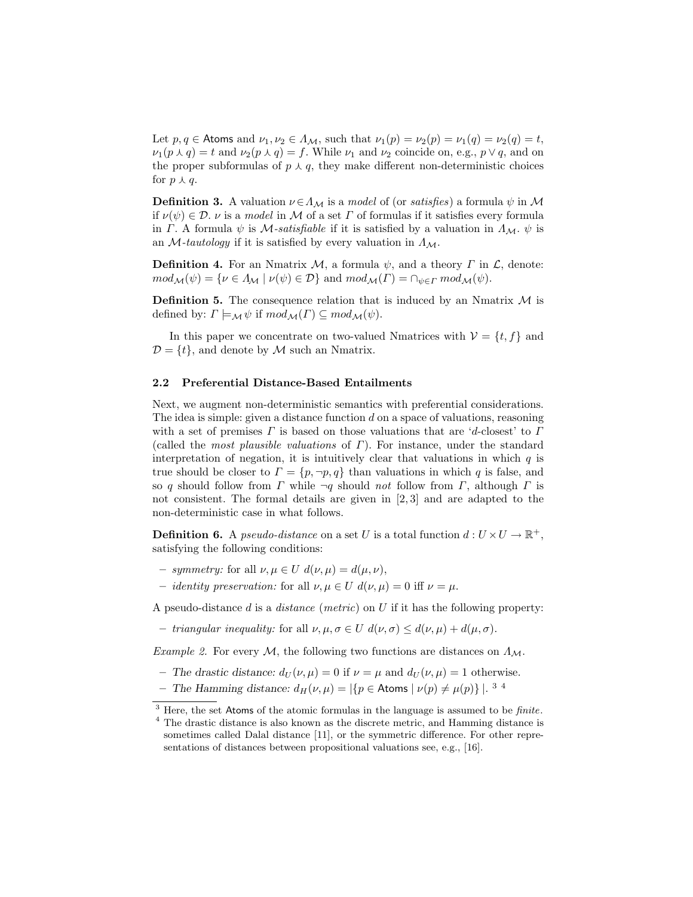Let  $p, q \in$  Atoms and  $\nu_1, \nu_2 \in \Lambda_{\mathcal{M}}$ , such that  $\nu_1(p) = \nu_2(p) = \nu_1(q) = \nu_2(q) = t$ ,  $\nu_1(p \wedge q) = t$  and  $\nu_2(p \wedge q) = f$ . While  $\nu_1$  and  $\nu_2$  coincide on, e.g.,  $p \vee q$ , and on the proper subformulas of  $p \wedge q$ , they make different non-deterministic choices for  $p \wedge q$ .

**Definition 3.** A valuation  $\nu \in \Lambda_M$  is a model of (or satisfies) a formula  $\psi$  in M if  $\nu(\psi) \in \mathcal{D}$ .  $\nu$  is a model in M of a set  $\Gamma$  of formulas if it satisfies every formula in Γ. A formula  $\psi$  is M-satisfiable if it is satisfied by a valuation in  $\Lambda_{\mathcal{M}}$ .  $\psi$  is an M-tautology if it is satisfied by every valuation in  $\Lambda_{\mathcal{M}}$ .

**Definition 4.** For an Nmatrix M, a formula  $\psi$ , and a theory  $\Gamma$  in  $\mathcal{L}$ , denote:  $mod_{\mathcal{M}}(\psi) = {\nu \in \Lambda_{\mathcal{M}} \mid \nu(\psi) \in \mathcal{D}}$  and  $mod_{\mathcal{M}}(\Gamma) = \cap_{\psi \in \Gamma} mod_{\mathcal{M}}(\psi)$ .

**Definition 5.** The consequence relation that is induced by an Nmatrix  $M$  is defined by:  $\Gamma \models_M \psi$  if  $mod_\mathcal{M}(\Gamma) \subseteq mod_\mathcal{M}(\psi)$ .

In this paper we concentrate on two-valued Nmatrices with  $\mathcal{V} = \{t, f\}$  and  $\mathcal{D} = \{t\}$ , and denote by M such an Nmatrix.

#### 2.2 Preferential Distance-Based Entailments

Next, we augment non-deterministic semantics with preferential considerations. The idea is simple: given a distance function  $d$  on a space of valuations, reasoning with a set of premises  $\Gamma$  is based on those valuations that are 'd-closest' to  $\Gamma$ (called the *most plausible valuations* of  $\Gamma$ ). For instance, under the standard interpretation of negation, it is intuitively clear that valuations in which  $q$  is true should be closer to  $\Gamma = \{p, \neg p, q\}$  than valuations in which q is false, and so q should follow from  $\Gamma$  while  $\neg q$  should not follow from  $\Gamma$ , although  $\Gamma$  is not consistent. The formal details are given in [2, 3] and are adapted to the non-deterministic case in what follows.

**Definition 6.** A *pseudo-distance* on a set U is a total function  $d: U \times U \to \mathbb{R}^+$ , satisfying the following conditions:

- symmetry: for all  $\nu, \mu \in U$   $d(\nu, \mu) = d(\mu, \nu),$
- *identity preservation:* for all  $\nu, \mu \in U$   $d(\nu, \mu) = 0$  iff  $\nu = \mu$ .

A pseudo-distance d is a distance (metric) on U if it has the following property:

- triangular inequality: for all  $\nu, \mu, \sigma \in U$   $d(\nu, \sigma) \leq d(\nu, \mu) + d(\mu, \sigma)$ .

Example 2. For every  $\mathcal{M}$ , the following two functions are distances on  $\Lambda_{\mathcal{M}}$ .

- The drastic distance:  $d_U(\nu,\mu) = 0$  if  $\nu = \mu$  and  $d_U(\nu,\mu) = 1$  otherwise.
- The Hamming distance:  $d_H(\nu,\mu) = |\{p \in \text{Atoms} \mid \nu(p) \neq \mu(p)\}|$ .<sup>34</sup>

 $3$  Here, the set Atoms of the atomic formulas in the language is assumed to be *finite*.

<sup>4</sup> The drastic distance is also known as the discrete metric, and Hamming distance is sometimes called Dalal distance [11], or the symmetric difference. For other representations of distances between propositional valuations see, e.g., [16].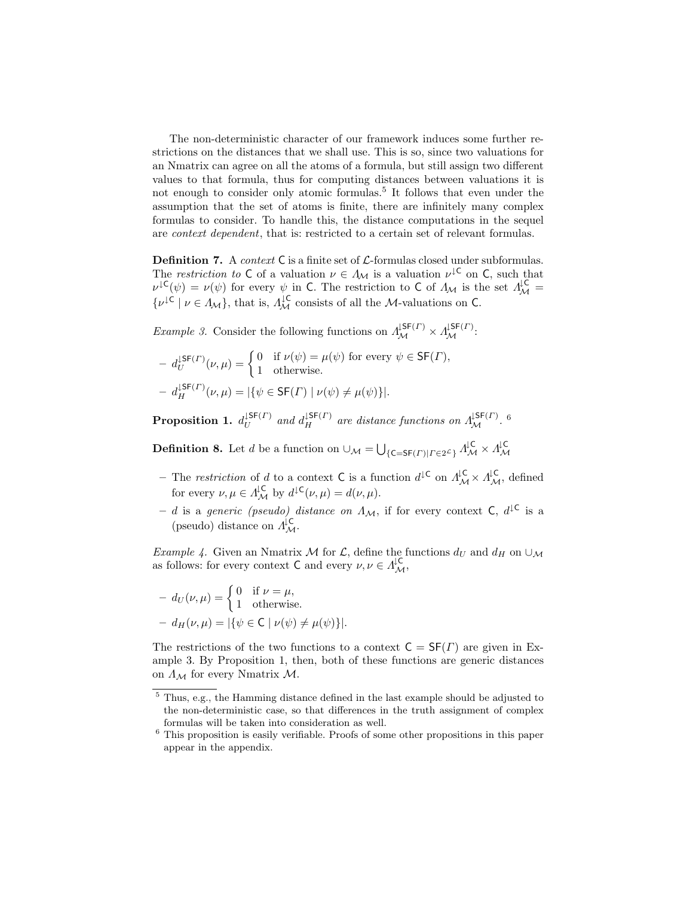The non-deterministic character of our framework induces some further restrictions on the distances that we shall use. This is so, since two valuations for an Nmatrix can agree on all the atoms of a formula, but still assign two different values to that formula, thus for computing distances between valuations it is not enough to consider only atomic formulas.<sup>5</sup> It follows that even under the assumption that the set of atoms is finite, there are infinitely many complex formulas to consider. To handle this, the distance computations in the sequel are context dependent, that is: restricted to a certain set of relevant formulas.

**Definition 7.** A *context*  $C$  is a finite set of  $\mathcal{L}$ -formulas closed under subformulas. The restriction to C of a valuation  $\nu \in \Lambda_{\mathcal{M}}$  is a valuation  $\nu^{\downarrow}$ C on C, such that  $\nu^{\downarrow}C(\psi) = \nu(\psi)$  for every  $\psi$  in C. The restriction to C of  $\Lambda_M$  is the set  $\Lambda_M^{\downarrow}C$  $\{\nu^{\downarrow c} \mid \nu \in A_{\mathcal{M}}\}$ , that is,  $A_{\mathcal{M}}^{\downarrow c}$  consists of all the *M*-valuations on C.

*Example 3.* Consider the following functions on  $\Lambda_{\mathcal{M}}^{|\mathsf{SF}(T)} \times \Lambda_{\mathcal{M}}^{|\mathsf{SF}(T)|}$ :

$$
- d_U^{\text{LSF}(F)}(\nu, \mu) = \begin{cases} 0 & \text{if } \nu(\psi) = \mu(\psi) \text{ for every } \psi \in \text{SF}(F), \\ 1 & \text{otherwise.} \end{cases}
$$

$$
- d_H^{\text{LSF}(F)}(\nu, \mu) = |\{\psi \in \text{SF}(F) \mid \nu(\psi) \neq \mu(\psi)\}|.
$$

**Proposition 1.**  $d_{U}^{\downarrow \mathsf{SF}(\varGamma)}$  $\downarrow^{\mathsf{S}\mathsf{F}(\varGamma)}$  and  $d_H^{\mathsf{L}\mathsf{S}\mathsf{F}(\varGamma)}$  are distance functions on  $\Lambda_{\mathcal{M}}^{\mathsf{L}\mathsf{S}\mathsf{F}(\varGamma)}$ . <sup>6</sup>

**Definition 8.** Let d be a function on  $\cup_{\mathcal{M}} = \bigcup_{\{C = \mathsf{SF}(T) | T \in 2^{\mathcal{L}}\}} \Lambda_{\mathcal{M}}^{\mathcal{L}} \times \Lambda_{\mathcal{M}}^{\mathcal{L}}$ 

- The restriction of d to a context C is a function  $d^{\downarrow \mathsf{C}}$  on  $A^{\downarrow \mathsf{C}}_{\mathcal{M}} \times A^{\downarrow \mathsf{C}}_{\mathcal{M}}$ , defined for every  $\nu, \mu \in \Lambda_{\mathcal{M}}^{\mathcal{L}}$  by  $d^{\mathcal{L}}(\nu, \mu) = d(\nu, \mu)$ .
- d is a generic (pseudo) distance on  $\Lambda_{\mathcal{M}}$ , if for every context C,  $d^{\downarrow \mathsf{C}}$  is a (pseudo) distance on  $\Lambda_{\mathcal{M}}^{\mathcal{L}}$ .

Example 4. Given an Nmatrix M for L, define the functions  $d_U$  and  $d_H$  on  $\cup_{\mathcal{M}}$ as follows: for every context C and every  $\nu, \nu \in \Lambda^{\downarrow C}_{\mathcal{M}}$ ,

$$
- d_U(\nu, \mu) = \begin{cases} 0 & \text{if } \nu = \mu, \\ 1 & \text{otherwise.} \end{cases}
$$
  
- 
$$
d_H(\nu, \mu) = |\{\psi \in \mathsf{C} \mid \nu(\psi) \neq \mu(\psi)\}|.
$$

The restrictions of the two functions to a context  $C = SF(\Gamma)$  are given in Example 3. By Proposition 1, then, both of these functions are generic distances on  $\Lambda_M$  for every Nmatrix M.

<sup>5</sup> Thus, e.g., the Hamming distance defined in the last example should be adjusted to the non-deterministic case, so that differences in the truth assignment of complex formulas will be taken into consideration as well.

 $6$  This proposition is easily verifiable. Proofs of some other propositions in this paper appear in the appendix.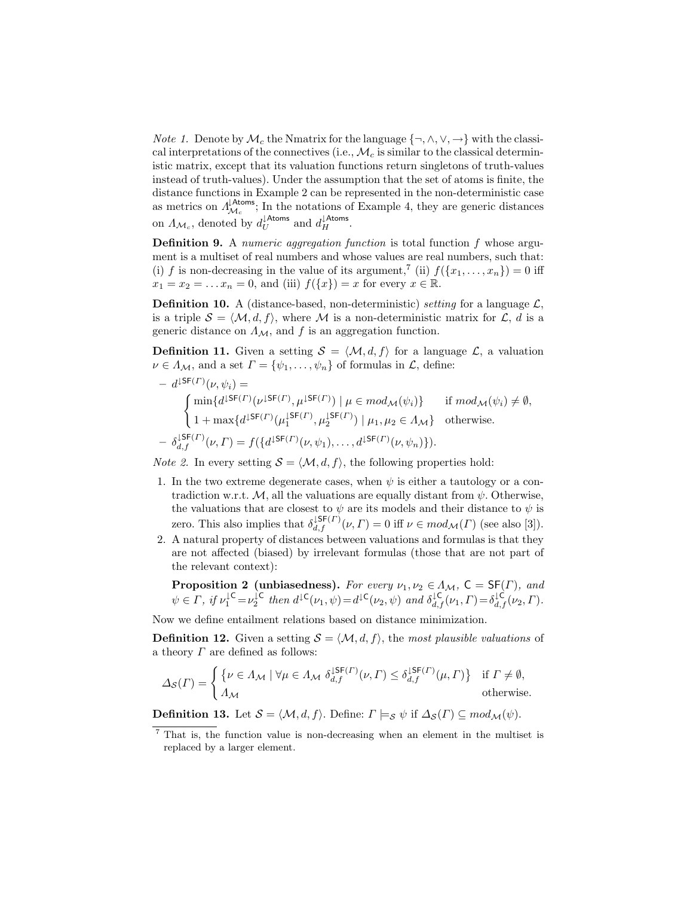*Note 1.* Denote by  $\mathcal{M}_c$  the Nmatrix for the language  $\{\neg, \wedge, \vee, \rightarrow\}$  with the classical interpretations of the connectives (i.e.,  $\mathcal{M}_c$  is similar to the classical deterministic matrix, except that its valuation functions return singletons of truth-values instead of truth-values). Under the assumption that the set of atoms is finite, the distance functions in Example 2 can be represented in the non-deterministic case as metrics on  $\Lambda_{\mathcal{M}_c}^{\mathsf{IAtoms}}$ ; In the notations of Example 4, they are generic distances on  $\Lambda_{\mathcal{M}_c}$ , denoted by  $d_U^{\downarrow \mathsf{Atoms}}$  and  $d_H^{\downarrow \mathsf{Atoms}}$ .

**Definition 9.** A numeric aggregation function is total function  $f$  whose argument is a multiset of real numbers and whose values are real numbers, such that: (i) f is non-decreasing in the value of its argument,<sup>7</sup> (ii)  $f(\lbrace x_1,\ldots,x_n \rbrace)=0$  iff  $x_1 = x_2 = \dots x_n = 0$ , and (iii)  $f({x}) = x$  for every  $x \in \mathbb{R}$ .

**Definition 10.** A (distance-based, non-deterministic) setting for a language  $\mathcal{L}$ , is a triple  $S = \langle M, d, f \rangle$ , where M is a non-deterministic matrix for L, d is a generic distance on  $\Lambda_{\mathcal{M}}$ , and f is an aggregation function.

**Definition 11.** Given a setting  $S = \langle M, d, f \rangle$  for a language L, a valuation  $\nu \in \Lambda_{\mathcal{M}}$ , and a set  $\Gamma = {\psi_1, \ldots, \psi_n}$  of formulas in  $\mathcal{L}$ , define:

$$
- d^{\text{LSF}(T)}(\nu, \psi_i) =
$$
\n
$$
\begin{cases}\n\min\{d^{\text{LSF}(T)}(\nu^{\text{LSF}(T)}, \mu^{\text{LSF}(T)}) \mid \mu \in mod_{\mathcal{M}}(\psi_i)\} & \text{if } mod_{\mathcal{M}}(\psi_i) \neq \emptyset, \\
1 + \max\{d^{\text{LSF}(T)}(\mu_1^{\text{LSF}(T)}, \mu_2^{\text{LSF}(T)}) \mid \mu_1, \mu_2 \in \Lambda_{\mathcal{M}}\} & \text{otherwise.} \\
-\delta_{d,f}^{\text{LSF}(T)}(\nu, \Gamma) = f(\{d^{\text{LSF}(T)}(\nu, \psi_1), \dots, d^{\text{LSF}(T)}(\nu, \psi_n)\}).\n\end{cases}
$$

*Note 2.* In every setting  $S = \langle M, d, f \rangle$ , the following properties hold:

- 1. In the two extreme degenerate cases, when  $\psi$  is either a tautology or a contradiction w.r.t.  $\mathcal{M}$ , all the valuations are equally distant from  $\psi$ . Otherwise, the valuations that are closest to  $\psi$  are its models and their distance to  $\psi$  is zero. This also implies that  $\delta_{d,f}^{\downarrow \mathsf{SF}(T)}(\nu, \Gamma) = 0$  iff  $\nu \in mod_{\mathcal{M}}(\Gamma)$  (see also [3]).
- 2. A natural property of distances between valuations and formulas is that they are not affected (biased) by irrelevant formulas (those that are not part of the relevant context):

**Proposition 2 (unbiasedness).** For every  $\nu_1, \nu_2 \in A_{\mathcal{M}}$ ,  $C = SF(\Gamma)$ , and  $\psi \in \Gamma$ , if  $\nu_1^{\downarrow \mathsf{C}} = \nu_2^{\downarrow \mathsf{C}}$  then  $d^{\downarrow \mathsf{C}}(\nu_1, \psi) = d^{\downarrow \mathsf{C}}(\nu_2, \psi)$  and  $\delta_{d,f}^{\downarrow \mathsf{C}}(\nu_1, \Gamma) = \delta_{d,f}^{\downarrow \mathsf{C}}(\nu_2, \Gamma)$ .

Now we define entailment relations based on distance minimization.

**Definition 12.** Given a setting  $S = \langle M, d, f \rangle$ , the most plausible valuations of a theory  $\Gamma$  are defined as follows:

$$
\Delta_{\mathcal{S}}(\Gamma) = \begin{cases} \{ \nu \in \Lambda_{\mathcal{M}} \mid \forall \mu \in \Lambda_{\mathcal{M}} \; \delta_{d,f}^{\downarrow \mathsf{S}\mathsf{F}(\Gamma)}(\nu, \Gamma) \leq \delta_{d,f}^{\downarrow \mathsf{S}\mathsf{F}(\Gamma)}(\mu, \Gamma) \} & \text{if } \Gamma \neq \emptyset, \\ \Lambda_{\mathcal{M}} & \text{otherwise.} \end{cases}
$$

**Definition 13.** Let  $S = \langle M, d, f \rangle$ . Define:  $\Gamma \models_S \psi$  if  $\Delta_S(\Gamma) \subseteq mod_M(\psi)$ .

<sup>7</sup> That is, the function value is non-decreasing when an element in the multiset is replaced by a larger element.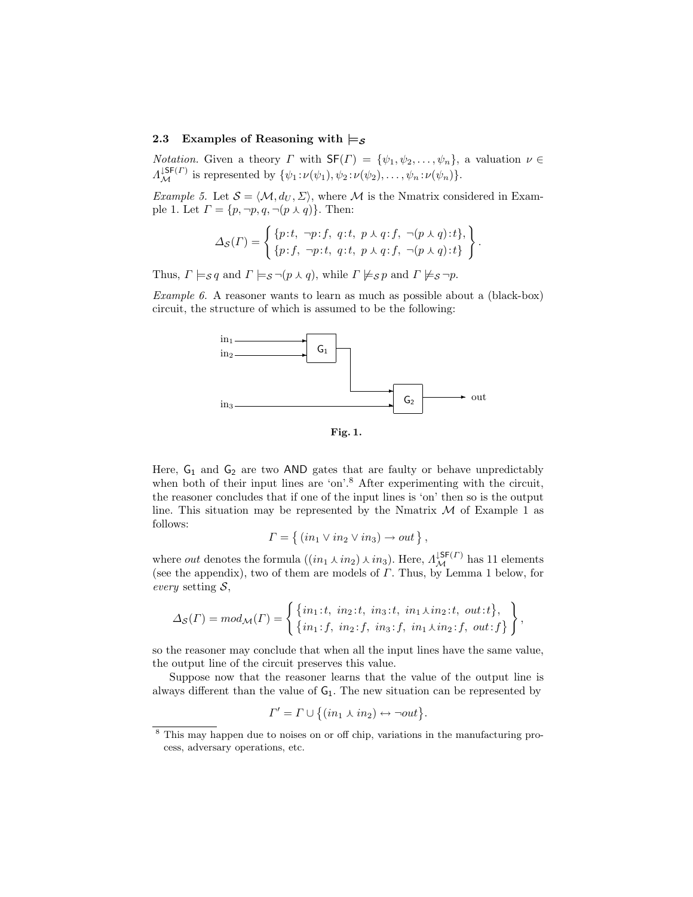#### 2.3 Examples of Reasoning with  $\models$  s

*Notation.* Given a theory  $\Gamma$  with  $\mathsf{SF}(\Gamma) = \{\psi_1, \psi_2, \dots, \psi_n\}$ , a valuation  $\nu \in \mathbb{R}$  $\Lambda_{\mathcal{M}}^{I \mathsf{SF}(F)}$  is represented by  $\{\psi_1 : \nu(\psi_1), \psi_2 : \nu(\psi_2), \ldots, \psi_n : \nu(\psi_n)\}.$ 

Example 5. Let  $S = \langle M, d_U, \Sigma \rangle$ , where M is the Nmatrix considered in Example 1. Let  $\Gamma = \{p, \neg p, q, \neg(p \wedge q)\}\.$  Then:

$$
\Delta_{\mathcal{S}}(\Gamma) = \left\{ \begin{aligned} &\{p:t, \neg p: f, q:t, p \curlywedge q: f, \neg (p \curlywedge q): t\}, \\ &\{p: f, \neg p: t, q:t, p \curlywedge q: f, \neg (p \curlywedge q): t\} \end{aligned} \right\}.
$$

Thus,  $\Gamma \models_{\mathcal{S}} q$  and  $\Gamma \models_{\mathcal{S}} \neg (p \land q)$ , while  $\Gamma \not\models_{\mathcal{S}} p$  and  $\Gamma \not\models_{\mathcal{S}} \neg p$ .

Example 6. A reasoner wants to learn as much as possible about a (black-box) circuit, the structure of which is assumed to be the following:





Here,  $G_1$  and  $G_2$  are two AND gates that are faulty or behave unpredictably when both of their input lines are 'on'.<sup>8</sup> After experimenting with the circuit, the reasoner concludes that if one of the input lines is 'on' then so is the output line. This situation may be represented by the Nmatrix  $M$  of Example 1 as follows:

$$
\Gamma = \{ (in_1 \vee in_2 \vee in_3) \to out \},
$$

where *out* denotes the formula  $((in_1 \wedge in_2) \wedge in_3)$ . Here,  $\Lambda_{\mathcal{M}}^{\mathsf{LSF}(F)}$  has 11 elements (see the appendix), two of them are models of  $\Gamma$ . Thus, by Lemma 1 below, for every setting  $S$ ,

$$
\Delta_{\mathcal{S}}(\Gamma) = mod_{\mathcal{M}}(\Gamma) = \left\{ \begin{aligned} &\{in_1:t, in_2:t, in_3:t, in_1 \lambda in_2:t, out:t\}, \\ &\{in_1:f, in_2:f, in_3:f, in_1 \lambda in_2:f, out:f\} \end{aligned} \right\},\,
$$

so the reasoner may conclude that when all the input lines have the same value, the output line of the circuit preserves this value.

Suppose now that the reasoner learns that the value of the output line is always different than the value of  $G_1$ . The new situation can be represented by

$$
\Gamma' = \Gamma \cup \{(in_1 \land in_2) \leftrightarrow \neg out\}
$$

.

<sup>8</sup> This may happen due to noises on or off chip, variations in the manufacturing process, adversary operations, etc.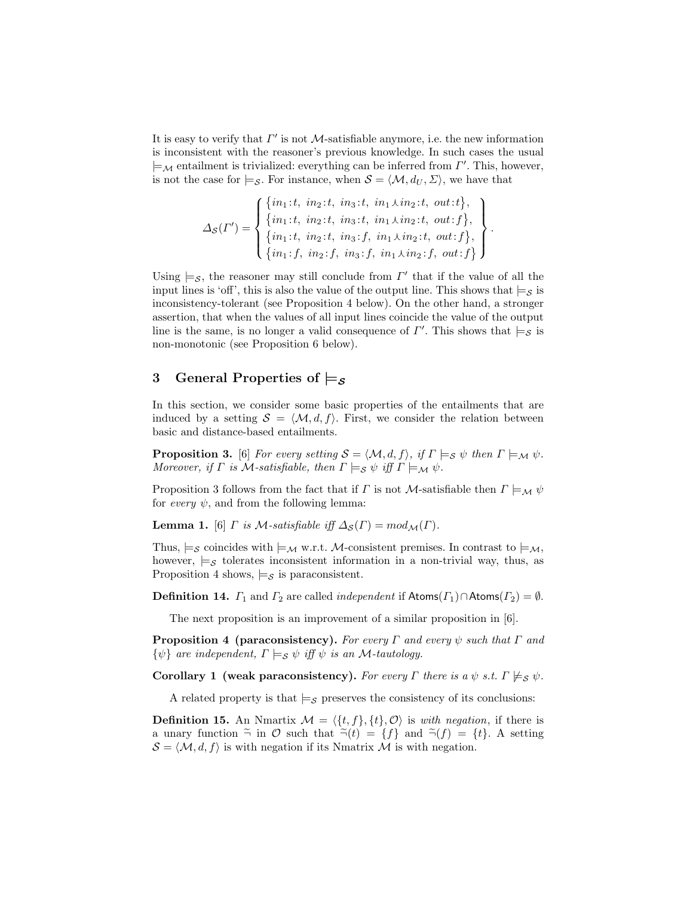It is easy to verify that  $\Gamma'$  is not M-satisfiable anymore, i.e. the new information is inconsistent with the reasoner's previous knowledge. In such cases the usual  $\models_{\mathcal{M}}$  entailment is trivialized: everything can be inferred from  $\Gamma'$ . This, however, is not the case for  $\models_{\mathcal{S}}$ . For instance, when  $\mathcal{S} = \langle \mathcal{M}, d_U, \Sigma \rangle$ , we have that

$$
\Delta_{\mathcal{S}}(\Gamma') = \begin{Bmatrix} \{in_1: t, in_2: t, in_3: t, in_1 \lambda in_2: t, out:t\}, \\ \{in_1: t, in_2: t, in_3: t, in_1 \lambda in_2: t, out:t\}, \\ \{in_1: t, in_2: t, in_3: f, in_1 \lambda in_2: t, out:t\}, \\ \{in_1: f, in_2: f, in_3: f, in_1 \lambda in_2: f, out:t\} \end{Bmatrix}
$$

.

Using  $\models$  s, the reasoner may still conclude from  $\Gamma'$  that if the value of all the input lines is 'off', this is also the value of the output line. This shows that  $\models_S$  is inconsistency-tolerant (see Proposition 4 below). On the other hand, a stronger assertion, that when the values of all input lines coincide the value of the output line is the same, is no longer a valid consequence of  $\Gamma'$ . This shows that  $\models_{\mathcal{S}}$  is non-monotonic (see Proposition 6 below).

# 3 General Properties of  $\models$  s

In this section, we consider some basic properties of the entailments that are induced by a setting  $S = \langle M, d, f \rangle$ . First, we consider the relation between basic and distance-based entailments.

**Proposition 3.** [6] For every setting  $S = \langle M, d, f \rangle$ , if  $\Gamma \models_S \psi$  then  $\Gamma \models_M \psi$ . Moreover, if  $\Gamma$  is M-satisfiable, then  $\Gamma \models_S \psi$  iff  $\Gamma \models_M \psi$ .

Proposition 3 follows from the fact that if  $\Gamma$  is not M-satisfiable then  $\Gamma \models_M \psi$ for *every*  $\psi$ , and from the following lemma:

**Lemma 1.** [6]  $\Gamma$  is M-satisfiable iff  $\Delta_{\mathcal{S}}(\Gamma) = mod_{\mathcal{M}}(\Gamma)$ .

Thus,  $\models_S$  coincides with  $\models_M$  w.r.t. M-consistent premises. In contrast to  $\models_M$ , however,  $\models$ s tolerates inconsistent information in a non-trivial way, thus, as Proposition 4 shows,  $\models$ <sub>S</sub> is paraconsistent.

**Definition 14.**  $\Gamma_1$  and  $\Gamma_2$  are called *independent* if  $\text{Atoms}(\Gamma_1) \cap \text{Atoms}(\Gamma_2) = \emptyset$ .

The next proposition is an improvement of a similar proposition in [6].

**Proposition 4 (paraconsistency).** For every  $\Gamma$  and every  $\psi$  such that  $\Gamma$  and  $\{\psi\}$  are independent,  $\Gamma \models_S \psi$  iff  $\psi$  is an M-tautology.

Corollary 1 (weak paraconsistency). For every  $\Gamma$  there is a  $\psi$  s.t.  $\Gamma \not\models_{\mathcal{S}} \psi$ .

A related property is that  $\models$ s preserves the consistency of its conclusions:

**Definition 15.** An Nmartix  $M = \langle \{t, f\}, \{t\}, \mathcal{O} \rangle$  is with negation, if there is a unary function  $\tilde{\neg}$  in  $\mathcal O$  such that  $\tilde{\neg}(t) = \{f\}$  and  $\tilde{\neg}(f) = \{t\}$ . A setting  $S = \langle M, d, f \rangle$  is with negation if its Nmatrix M is with negation.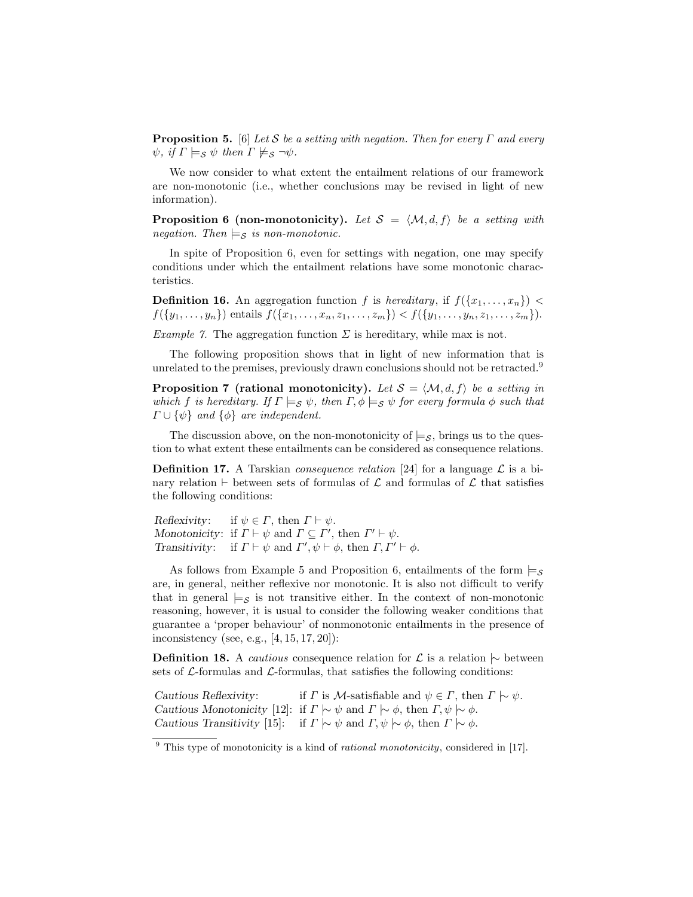**Proposition 5.** [6] Let S be a setting with negation. Then for every  $\Gamma$  and every  $\psi$ , if  $\Gamma \models_{\mathcal{S}} \psi$  then  $\Gamma \not\models_{\mathcal{S}} \neg \psi$ .

We now consider to what extent the entailment relations of our framework are non-monotonic (i.e., whether conclusions may be revised in light of new information).

**Proposition 6 (non-monotonicity).** Let  $S = \langle M, d, f \rangle$  be a setting with negation. Then  $\models$  is non-monotonic.

In spite of Proposition 6, even for settings with negation, one may specify conditions under which the entailment relations have some monotonic characteristics.

**Definition 16.** An aggregation function f is hereditary, if  $f(\{x_1, \ldots, x_n\})$  $f({y_1, \ldots, y_n})$  entails  $f({x_1, \ldots, x_n, z_1, \ldots, z_m}) < f({y_1, \ldots, y_n, z_1, \ldots, z_m}).$ 

Example 7. The aggregation function  $\Sigma$  is hereditary, while max is not.

The following proposition shows that in light of new information that is unrelated to the premises, previously drawn conclusions should not be retracted.<sup>9</sup>

**Proposition 7** (rational monotonicity). Let  $S = \langle M, d, f \rangle$  be a setting in which f is hereditary. If  $\Gamma \models_S \psi$ , then  $\Gamma, \phi \models_S \psi$  for every formula  $\phi$  such that  $\Gamma \cup {\psi}$  and  ${\phi}$  are independent.

The discussion above, on the non-monotonicity of  $\models s$ , brings us to the question to what extent these entailments can be considered as consequence relations.

**Definition 17.** A Tarskian *consequence relation* [24] for a language  $\mathcal{L}$  is a binary relation  $\vdash$  between sets of formulas of  $\mathcal L$  and formulas of  $\mathcal L$  that satisfies the following conditions:

Reflexivity: if  $\psi \in \Gamma$ , then  $\Gamma \vdash \psi$ . Monotonicity: if  $\Gamma \vdash \psi$  and  $\Gamma \subseteq \Gamma'$ , then  $\Gamma' \vdash \psi$ . Transitivity: if  $\Gamma \vdash \psi$  and  $\Gamma', \psi \vdash \phi$ , then  $\Gamma, \Gamma' \vdash \phi$ .

As follows from Example 5 and Proposition 6, entailments of the form  $\models$  s are, in general, neither reflexive nor monotonic. It is also not difficult to verify that in general  $\models$ s is not transitive either. In the context of non-monotonic reasoning, however, it is usual to consider the following weaker conditions that guarantee a 'proper behaviour' of nonmonotonic entailments in the presence of inconsistency (see, e.g., [4, 15, 17, 20]):

**Definition 18.** A *cautious* consequence relation for  $\mathcal{L}$  is a relation  $\sim$  between sets of  $\mathcal L$ -formulas and  $\mathcal L$ -formulas, that satisfies the following conditions:

Cautious Reflexivity: if  $\Gamma$  is M-satisfiable and  $\psi \in \Gamma$ , then  $\Gamma \sim \psi$ . Cautious Monotonicity [12]: if  $\Gamma \mid \sim \psi$  and  $\Gamma \mid \sim \phi$ , then  $\Gamma, \psi \mid \sim \phi$ . Cautious Transitivity [15]: if  $\Gamma \stackrel{\sim}{\sim} \psi$  and  $\Gamma, \psi \stackrel{\sim}{\sim} \phi$ , then  $\Gamma \stackrel{\sim}{\sim} \phi$ .

 $9$  This type of monotonicity is a kind of *rational monotonicity*, considered in [17].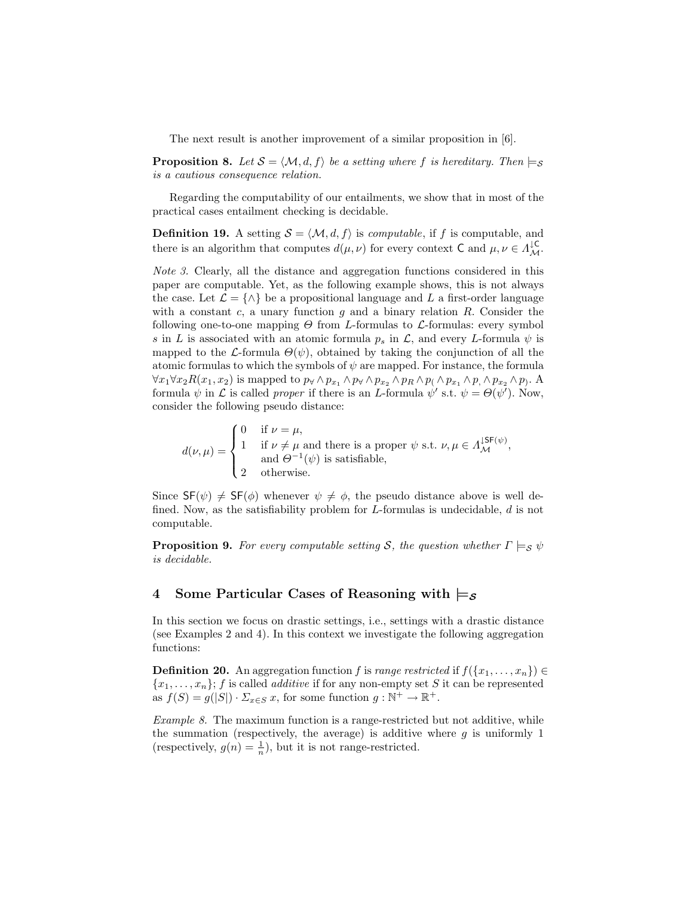The next result is another improvement of a similar proposition in [6].

**Proposition 8.** Let  $S = \langle M, d, f \rangle$  be a setting where f is hereditary. Then  $\models_S$ is a cautious consequence relation.

Regarding the computability of our entailments, we show that in most of the practical cases entailment checking is decidable.

**Definition 19.** A setting  $S = \langle M, d, f \rangle$  is *computable*, if f is computable, and there is an algorithm that computes  $d(\mu, \nu)$  for every context C and  $\mu, \nu \in \Lambda_{\mathcal{M}}^{\mathcal{LC}}$ .

Note 3. Clearly, all the distance and aggregation functions considered in this paper are computable. Yet, as the following example shows, this is not always the case. Let  $\mathcal{L} = \{\wedge\}$  be a propositional language and L a first-order language with a constant  $c$ , a unary function  $g$  and a binary relation  $R$ . Consider the following one-to-one mapping  $\Theta$  from L-formulas to  $\mathcal{L}$ -formulas: every symbol s in L is associated with an atomic formula  $p_s$  in L, and every L-formula  $\psi$  is mapped to the L-formula  $\Theta(\psi)$ , obtained by taking the conjunction of all the atomic formulas to which the symbols of  $\psi$  are mapped. For instance, the formula  $\forall x_1 \forall x_2 R(x_1, x_2)$  is mapped to  $p_{\forall} \wedge p_{x_1} \wedge p_{\forall} \wedge p_{x_2} \wedge p_R \wedge p_{(\land p_{x_1} \wedge p_{x_2} \wedge p_{\bot})}$ . formula  $\psi$  in  $\mathcal L$  is called *proper* if there is an *L*-formula  $\psi'$  s.t.  $\psi = \Theta(\psi')$ . Now, consider the following pseudo distance:

$$
d(\nu,\mu) = \begin{cases} 0 & \text{if } \nu = \mu, \\ 1 & \text{if } \nu \neq \mu \text{ and there is a proper } \psi \text{ s.t. } \nu, \mu \in \Lambda_{\mathcal{M}}^{\mathsf{LSF}(\psi)}, \\ & \text{and } \Theta^{-1}(\psi) \text{ is satisfiable,} \\ 2 & \text{otherwise.} \end{cases}
$$

Since  $\mathsf{SF}(\psi) \neq \mathsf{SF}(\phi)$  whenever  $\psi \neq \phi$ , the pseudo distance above is well defined. Now, as the satisfiability problem for L-formulas is undecidable, d is not computable.

**Proposition 9.** For every computable setting S, the question whether  $\Gamma \models_{\mathcal{S}} \psi$ is decidable.

# 4 Some Particular Cases of Reasoning with  $\models$ s

In this section we focus on drastic settings, i.e., settings with a drastic distance (see Examples 2 and 4). In this context we investigate the following aggregation functions:

**Definition 20.** An aggregation function f is range restricted if  $f(\lbrace x_1, \ldots, x_n \rbrace)$  ${x_1, \ldots, x_n}$ ; f is called *additive* if for any non-empty set S it can be represented as  $f(S) = g(|S|) \cdot \Sigma_{x \in S} x$ , for some function  $g : \mathbb{N}^+ \to \mathbb{R}^+$ .

Example 8. The maximum function is a range-restricted but not additive, while the summation (respectively, the average) is additive where  $g$  is uniformly 1 (respectively,  $g(n) = \frac{1}{n}$ ), but it is not range-restricted.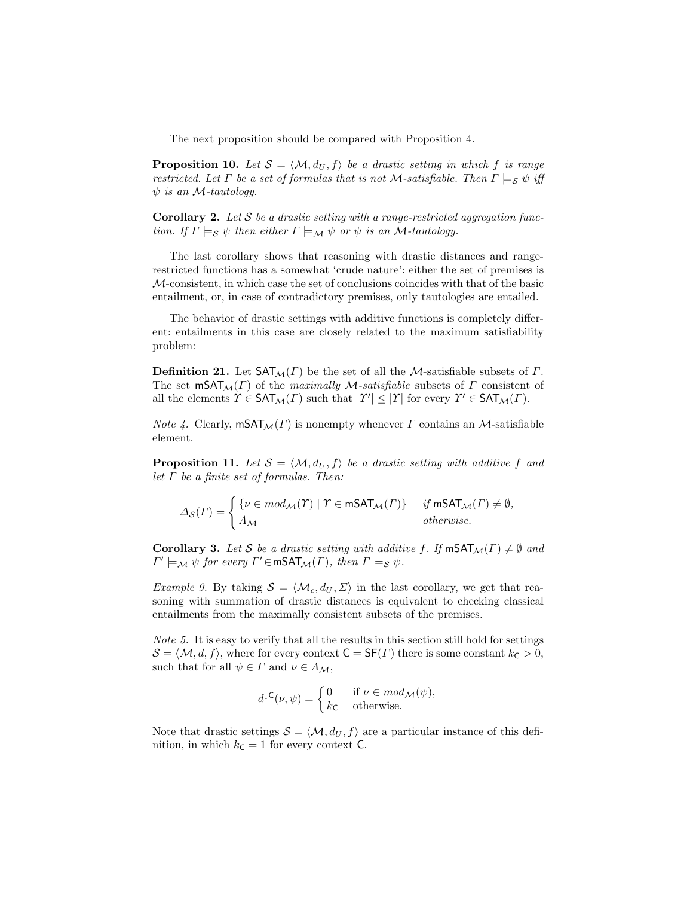The next proposition should be compared with Proposition 4.

**Proposition 10.** Let  $S = \langle M, d_U, f \rangle$  be a drastic setting in which f is range restricted. Let  $\Gamma$  be a set of formulas that is not M-satisfiable. Then  $\Gamma \models_S \psi$  iff  $\psi$  is an M-tautology.

**Corollary 2.** Let S be a drastic setting with a range-restricted aggregation function. If  $\Gamma \models_S \psi$  then either  $\Gamma \models_M \psi$  or  $\psi$  is an M-tautology.

The last corollary shows that reasoning with drastic distances and rangerestricted functions has a somewhat 'crude nature': either the set of premises is M-consistent, in which case the set of conclusions coincides with that of the basic entailment, or, in case of contradictory premises, only tautologies are entailed.

The behavior of drastic settings with additive functions is completely different: entailments in this case are closely related to the maximum satisfiability problem:

**Definition 21.** Let  $\text{SAT}_{\mathcal{M}}(\Gamma)$  be the set of all the *M*-satisfiable subsets of  $\Gamma$ . The set mSAT<sub>M</sub> $(\Gamma)$  of the maximally M-satisfiable subsets of  $\Gamma$  consistent of all the elements  $\Upsilon \in \text{SAT}_{\mathcal{M}}(\Gamma)$  such that  $|\Upsilon'| \leq |\Upsilon|$  for every  $\Upsilon' \in \text{SAT}_{\mathcal{M}}(\Gamma)$ .

*Note 4.* Clearly,  $mSAT_{\mathcal{M}}(\Gamma)$  is nonempty whenever  $\Gamma$  contains an *M*-satisfiable element.

**Proposition 11.** Let  $S = \langle M, d_U, f \rangle$  be a drastic setting with additive f and let  $\Gamma$  be a finite set of formulas. Then:

$$
\Delta_{\mathcal{S}}(\Gamma) = \begin{cases} \{ \nu \in mod_{\mathcal{M}}(\Upsilon) \mid \Upsilon \in \mathsf{mSAT}_{\mathcal{M}}(\Gamma) \} & \text{if } \mathsf{mSAT}_{\mathcal{M}}(\Gamma) \neq \emptyset, \\ A_{\mathcal{M}} & \text{otherwise.} \end{cases}
$$

**Corollary 3.** Let S be a drastic setting with additive f. If  $mSAT_{\mathcal{M}}(\Gamma) \neq \emptyset$  and  $\Gamma' \models_{\mathcal{M}} \psi$  for every  $\Gamma' \in \mathsf{mSAT}_\mathcal{M}(\Gamma)$ , then  $\Gamma \models_{\mathcal{S}} \psi$ .

Example 9. By taking  $S = \langle \mathcal{M}_c, d_U, \Sigma \rangle$  in the last corollary, we get that reasoning with summation of drastic distances is equivalent to checking classical entailments from the maximally consistent subsets of the premises.

Note 5. It is easy to verify that all the results in this section still hold for settings  $S = \langle M, d, f \rangle$ , where for every context  $C = SF(\Gamma)$  there is some constant  $k<sub>C</sub> > 0$ , such that for all  $\psi \in \Gamma$  and  $\nu \in \Lambda_{\mathcal{M}}$ ,

$$
d^{\downarrow \mathsf{C}}(\nu, \psi) = \begin{cases} 0 & \text{if } \nu \in \mathit{mod}_{\mathcal{M}}(\psi), \\ k_{\mathsf{C}} & \text{otherwise.} \end{cases}
$$

Note that drastic settings  $S = \langle M, d_U, f \rangle$  are a particular instance of this definition, in which  $k<sub>C</sub> = 1$  for every context C.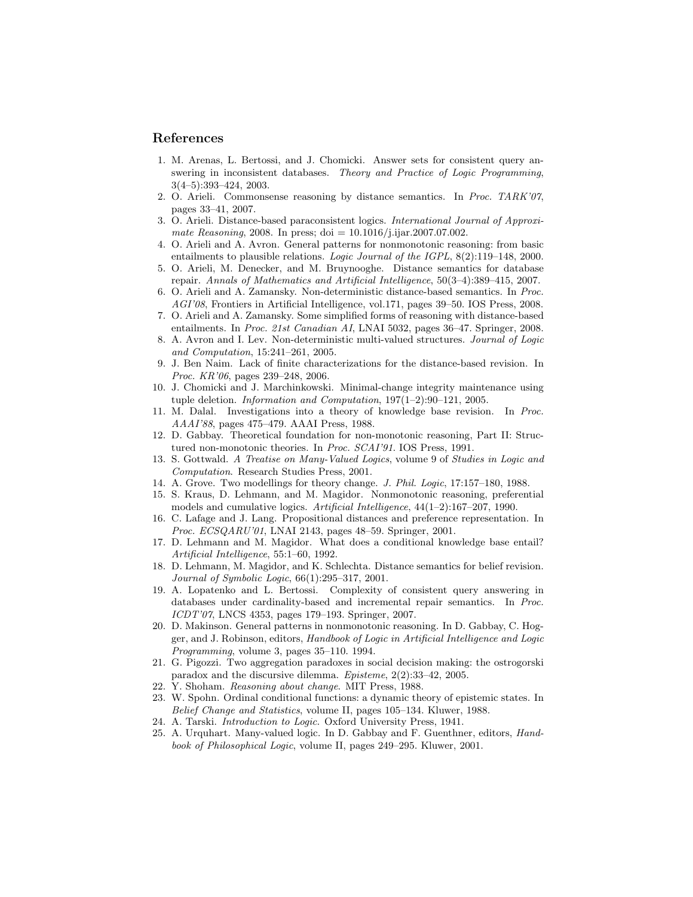## References

- 1. M. Arenas, L. Bertossi, and J. Chomicki. Answer sets for consistent query answering in inconsistent databases. Theory and Practice of Logic Programming, 3(4–5):393–424, 2003.
- 2. O. Arieli. Commonsense reasoning by distance semantics. In Proc. TARK'07, pages 33–41, 2007.
- 3. O. Arieli. Distance-based paraconsistent logics. International Journal of Approximate Reasoning, 2008. In press; doi =  $10.1016/j.ijar.2007.07.002$ .
- 4. O. Arieli and A. Avron. General patterns for nonmonotonic reasoning: from basic entailments to plausible relations. Logic Journal of the IGPL,  $8(2):119-148$ , 2000.
- 5. O. Arieli, M. Denecker, and M. Bruynooghe. Distance semantics for database repair. Annals of Mathematics and Artificial Intelligence, 50(3–4):389–415, 2007.
- 6. O. Arieli and A. Zamansky. Non-deterministic distance-based semantics. In Proc. AGI'08, Frontiers in Artificial Intelligence, vol.171, pages 39–50. IOS Press, 2008.
- 7. O. Arieli and A. Zamansky. Some simplified forms of reasoning with distance-based entailments. In Proc. 21st Canadian AI, LNAI 5032, pages 36–47. Springer, 2008.
- 8. A. Avron and I. Lev. Non-deterministic multi-valued structures. Journal of Logic and Computation, 15:241–261, 2005.
- 9. J. Ben Naim. Lack of finite characterizations for the distance-based revision. In Proc. KR'06, pages 239–248, 2006.
- 10. J. Chomicki and J. Marchinkowski. Minimal-change integrity maintenance using tuple deletion. Information and Computation, 197(1–2):90–121, 2005.
- 11. M. Dalal. Investigations into a theory of knowledge base revision. In Proc. AAAI'88, pages 475–479. AAAI Press, 1988.
- 12. D. Gabbay. Theoretical foundation for non-monotonic reasoning, Part II: Structured non-monotonic theories. In Proc. SCAI'91. IOS Press, 1991.
- 13. S. Gottwald. A Treatise on Many-Valued Logics, volume 9 of Studies in Logic and Computation. Research Studies Press, 2001.
- 14. A. Grove. Two modellings for theory change. J. Phil. Logic, 17:157–180, 1988.
- 15. S. Kraus, D. Lehmann, and M. Magidor. Nonmonotonic reasoning, preferential models and cumulative logics. Artificial Intelligence,  $44(1-2):167-207$ , 1990.
- 16. C. Lafage and J. Lang. Propositional distances and preference representation. In Proc. ECSQARU'01, LNAI 2143, pages 48–59. Springer, 2001.
- 17. D. Lehmann and M. Magidor. What does a conditional knowledge base entail? Artificial Intelligence, 55:1–60, 1992.
- 18. D. Lehmann, M. Magidor, and K. Schlechta. Distance semantics for belief revision. Journal of Symbolic Logic, 66(1):295–317, 2001.
- 19. A. Lopatenko and L. Bertossi. Complexity of consistent query answering in databases under cardinality-based and incremental repair semantics. In Proc. ICDT'07, LNCS 4353, pages 179–193. Springer, 2007.
- 20. D. Makinson. General patterns in nonmonotonic reasoning. In D. Gabbay, C. Hogger, and J. Robinson, editors, Handbook of Logic in Artificial Intelligence and Logic Programming, volume 3, pages 35–110. 1994.
- 21. G. Pigozzi. Two aggregation paradoxes in social decision making: the ostrogorski paradox and the discursive dilemma. Episteme, 2(2):33–42, 2005.
- 22. Y. Shoham. Reasoning about change. MIT Press, 1988.
- 23. W. Spohn. Ordinal conditional functions: a dynamic theory of epistemic states. In Belief Change and Statistics, volume II, pages 105–134. Kluwer, 1988.
- 24. A. Tarski. Introduction to Logic. Oxford University Press, 1941.
- 25. A. Urquhart. Many-valued logic. In D. Gabbay and F. Guenthner, editors, Handbook of Philosophical Logic, volume II, pages 249–295. Kluwer, 2001.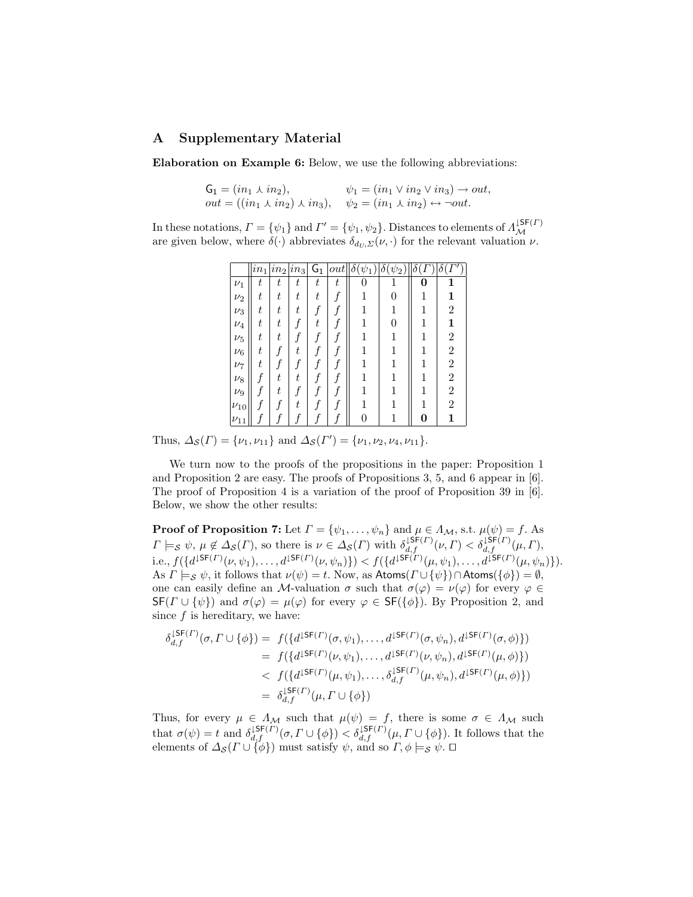# A Supplementary Material

Elaboration on Example 6: Below, we use the following abbreviations:

| $G_1 = (in_1 \wedge in_2),$ | $\psi_1 = (in_1 \vee in_2 \vee in_3) \rightarrow out,$                                                |
|-----------------------------|-------------------------------------------------------------------------------------------------------|
|                             | $out = ((in_1 \wedge in_2) \wedge in_3), \quad \psi_2 = (in_1 \wedge in_2) \leftrightarrow \neg out.$ |

In these notations,  $\Gamma = {\psi_1}$  and  $\Gamma' = {\psi_1, \psi_2}$ . Distances to elements of  $\Lambda_{\mathcal{M}}^{\mathsf{LSF(\Gamma)}}$ M are given below, where  $\delta(\cdot)$  abbreviates  $\delta_{d_U, \Sigma}(\nu, \cdot)$  for the relevant valuation  $\nu$ .

|            | $\overline{in}_1$ |    | $ in_2 $ $in_3$ | $G_1$ |   | $\overline{out}$ $\overline{\left  \delta (\psi _{1}\right  }$ | $\delta(\psi_2)$ | δ<br>$\boldsymbol{I}$ | $\delta$<br>$(T^{\prime}% )\rightarrow(\mathbb{R}^{2n},\mathbb{R}^{2n})$ |
|------------|-------------------|----|-----------------|-------|---|----------------------------------------------------------------|------------------|-----------------------|--------------------------------------------------------------------------|
| $\nu_1$    | t                 | t  | t               | t     | t |                                                                |                  | 0                     | 1                                                                        |
| $\nu_2$    | t                 | t  | t.              | t.    |   |                                                                |                  |                       | 1                                                                        |
| $\nu_3$    | t                 | t  | t.              |       |   |                                                                |                  |                       | 2                                                                        |
| $\nu_4$    | t                 | t  |                 |       |   |                                                                |                  |                       | 1                                                                        |
| $\nu_5$    | t                 | t. |                 |       |   |                                                                |                  |                       | 2                                                                        |
| $\nu_6$    | t                 |    |                 |       |   |                                                                |                  |                       | 2                                                                        |
| $\nu_7$    | t                 |    |                 |       |   |                                                                |                  |                       | $\overline{2}$                                                           |
| $\nu_8$    |                   | t. |                 |       |   |                                                                |                  |                       | 2                                                                        |
| $\nu_9$    |                   | t. |                 |       |   |                                                                |                  |                       | 2                                                                        |
| $\nu_{10}$ |                   |    |                 |       |   |                                                                |                  |                       | 2                                                                        |
| $\nu_{11}$ |                   |    |                 |       |   |                                                                |                  |                       |                                                                          |

Thus,  $\Delta_{\mathcal{S}}(\Gamma) = \{\nu_1, \nu_{11}\}\$ and  $\Delta_{\mathcal{S}}(\Gamma') = \{\nu_1, \nu_2, \nu_4, \nu_{11}\}.$ 

We turn now to the proofs of the propositions in the paper: Proposition 1 and Proposition 2 are easy. The proofs of Propositions 3, 5, and 6 appear in [6]. The proof of Proposition 4 is a variation of the proof of Proposition 39 in [6]. Below, we show the other results:

**Proof of Proposition 7:** Let  $\Gamma = {\psi_1, \ldots, \psi_n}$  and  $\mu \in A_{\mathcal{M}}$ , s.t.  $\mu(\psi) = f$ . As  $\Gamma \models_{\mathcal{S}} \psi, \mu \notin \Delta_{\mathcal{S}}(\Gamma)$ , so there is  $\nu \in \Delta_{\mathcal{S}}(\Gamma)$  with  $\delta_{d,f}^{\mathsf{LSF}(\Gamma)}(\nu,\Gamma) < \delta_{d,f}^{\mathsf{LSF}(\Gamma)}(\mu,\Gamma)$ , i.e.,  $f({d^{|\mathsf{SF}(\Gamma)}(\nu, \psi_1), \dots, d^{|\mathsf{SF}(\Gamma)}(\nu, \psi_n)} > f({d^{|\mathsf{SF}(\Gamma)}(\mu, \psi_1), \dots, d^{|\mathsf{SF}(\Gamma)}(\mu, \psi_n)}).$ As  $\Gamma \models_S \psi$ , it follows that  $\nu(\psi) = t$ . Now, as  $\text{Atoms}(\Gamma \cup \{\psi\}) \cap \text{Atoms}(\{\phi\}) = \emptyset$ , one can easily define an M-valuation  $\sigma$  such that  $\sigma(\varphi) = \nu(\varphi)$  for every  $\varphi \in$  $\mathsf{SF}(T \cup \{\psi\})$  and  $\sigma(\varphi) = \mu(\varphi)$  for every  $\varphi \in \mathsf{SF}(\{\phi\})$ . By Proposition 2, and since  $f$  is hereditary, we have:

$$
\delta_{d,f}^{\text{LSF}(T)}(\sigma, \Gamma \cup \{\phi\}) = f(\{d^{\text{LSF}(T)}(\sigma, \psi_1), \dots, d^{\text{LSF}(T)}(\sigma, \psi_n), d^{\text{LSF}(T)}(\sigma, \phi)\})
$$
\n
$$
= f(\{d^{\text{LSF}(T)}(\nu, \psi_1), \dots, d^{\text{LSF}(T)}(\nu, \psi_n), d^{\text{LSF}(T)}(\mu, \phi)\})
$$
\n
$$
< f(\{d^{\text{LSF}(T)}(\mu, \psi_1), \dots, \delta_{d,f}^{\text{LSF}(T)}(\mu, \psi_n), d^{\text{LSF}(T)}(\mu, \phi)\})
$$
\n
$$
= \delta_{d,f}^{\text{LSF}(T)}(\mu, \Gamma \cup \{\phi\})
$$

Thus, for every  $\mu \in \Lambda_{\mathcal{M}}$  such that  $\mu(\psi) = f$ , there is some  $\sigma \in \Lambda_{\mathcal{M}}$  such that  $\sigma(\psi) = t$  and  $\delta_{d,f}^{\text{1SF}}(\sigma, \Gamma \cup \{\phi\}) < \delta_{d,f}^{\text{1SF}}(\mu, \Gamma \cup \{\phi\})$ . It follows that the elements of  $\Delta_{\mathcal{S}}(\Gamma \cup \{\phi\})$  must satisfy  $\psi$ , and so  $\Gamma, \phi \models_{\mathcal{S}} \psi$ .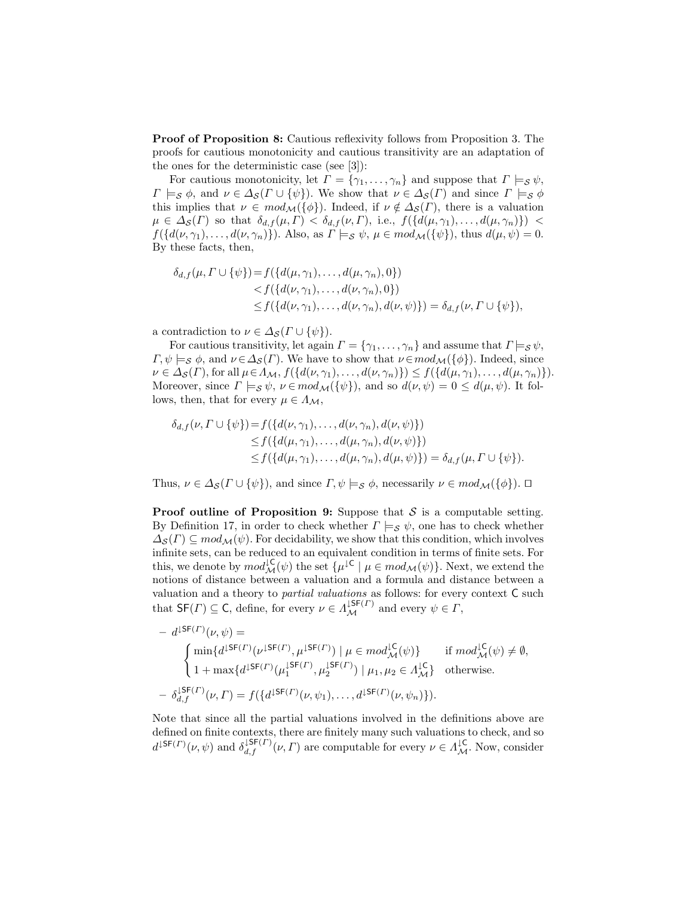Proof of Proposition 8: Cautious reflexivity follows from Proposition 3. The proofs for cautious monotonicity and cautious transitivity are an adaptation of the ones for the deterministic case (see [3]):

For cautious monotonicity, let  $\Gamma = {\gamma_1, \dots, \gamma_n}$  and suppose that  $\Gamma \models_{\mathcal{S}} \psi$ ,  $\Gamma \models_S \phi$ , and  $\nu \in \Delta_S(\Gamma \cup \{\psi\})$ . We show that  $\nu \in \Delta_S(\Gamma)$  and since  $\Gamma \models_S \phi$ this implies that  $\nu \in mod_{\mathcal{M}}(\{\phi\})$ . Indeed, if  $\nu \notin \Delta_{\mathcal{S}}(\Gamma)$ , there is a valuation  $\mu \in \Delta_{\mathcal{S}}(\Gamma)$  so that  $\delta_{d,f}(\mu,\Gamma) < \delta_{d,f}(\nu,\Gamma)$ , i.e.,  $f(\{d(\mu,\gamma_1),\ldots,d(\mu,\gamma_n)\})$  $f({d(\nu, \gamma_1), \ldots, d(\nu, \gamma_n)}).$  Also, as  $\Gamma \models_S \psi, \mu \in mod_{\mathcal{M}}({\{\psi\}}),$  thus  $d(\mu, \psi) = 0.$ By these facts, then,

$$
\delta_{d,f}(\mu, \Gamma \cup \{\psi\}) = f(\{d(\mu, \gamma_1), \dots, d(\mu, \gamma_n), 0\}) \n\leq f(\{d(\nu, \gamma_1), \dots, d(\nu, \gamma_n), 0\}) \n\leq f(\{d(\nu, \gamma_1), \dots, d(\nu, \gamma_n), d(\nu, \psi)\}) = \delta_{d,f}(\nu, \Gamma \cup \{\psi\}),
$$

a contradiction to  $\nu \in \Delta_{\mathcal{S}}(\Gamma \cup \{\psi\}).$ 

For cautious transitivity, let again  $\Gamma = {\gamma_1, \ldots, \gamma_n}$  and assume that  $\Gamma \models_{\mathcal{S}} \psi$ ,  $\Gamma, \psi \models_{\mathcal{S}} \phi$ , and  $\nu \in \Delta_{\mathcal{S}}(\Gamma)$ . We have to show that  $\nu \in mod_{\mathcal{M}}(\{\phi\})$ . Indeed, since  $\nu \in \Delta_{\mathcal{S}}(\Gamma)$ , for all  $\mu \in \Lambda_{\mathcal{M}}$ ,  $f(\{d(\nu, \gamma_1), \ldots, d(\nu, \gamma_n)\}) \leq f(\{d(\mu, \gamma_1), \ldots, d(\mu, \gamma_n)\}).$ Moreover, since  $\Gamma \models_{\mathcal{S}} \psi$ ,  $\nu \in mod_{\mathcal{M}}(\{\psi\})$ , and so  $d(\nu, \psi) = 0 \leq d(\mu, \psi)$ . It follows, then, that for every  $\mu \in A_{\mathcal{M}}$ ,

$$
\delta_{d,f}(\nu, \Gamma \cup \{\psi\}) = f(\{d(\nu, \gamma_1), \dots, d(\nu, \gamma_n), d(\nu, \psi)\})
$$
  
\n
$$
\leq f(\{d(\mu, \gamma_1), \dots, d(\mu, \gamma_n), d(\nu, \psi)\})
$$
  
\n
$$
\leq f(\{d(\mu, \gamma_1), \dots, d(\mu, \gamma_n), d(\mu, \psi)\}) = \delta_{d,f}(\mu, \Gamma \cup \{\psi\}).
$$

Thus,  $\nu \in \Delta_S(\Gamma \cup \{\psi\})$ , and since  $\Gamma, \psi \models_S \phi$ , necessarily  $\nu \in mod_{\mathcal{M}}(\{\phi\})$ .  $\Box$ 

**Proof outline of Proposition 9:** Suppose that  $S$  is a computable setting. By Definition 17, in order to check whether  $\Gamma \models_{\mathcal{S}} \psi$ , one has to check whether  $\Delta_{\mathcal{S}}(\Gamma) \subseteq \text{mod}_{\mathcal{M}}(\psi)$ . For decidability, we show that this condition, which involves infinite sets, can be reduced to an equivalent condition in terms of finite sets. For this, we denote by  $mod_{\mathcal{M}}^{\mathcal{L}}(\psi)$  the set  $\{\mu^{\mathcal{L}} \mid \mu \in mod_{\mathcal{M}}(\psi)\}\)$ . Next, we extend the notions of distance between a valuation and a formula and distance between a valuation and a theory to partial valuations as follows: for every context C such that  $\mathsf{SF}(F) \subseteq \mathsf{C}$ , define, for every  $\nu \in \Lambda_{\mathcal{M}}^{\mathsf{LSF}(F)}$  and every  $\psi \in \Gamma$ ,

$$
- d^{I\mathsf{SF}(T)}(\nu, \psi) =
$$
\n
$$
\begin{cases}\n\min\{d^{I\mathsf{SF}(T)}(\nu^{I\mathsf{SF}(T)}, \mu^{I\mathsf{SF}(T)}) \mid \mu \in mod_{\mathcal{M}}^{I\mathsf{C}}(\psi)\} & \text{if } mod_{\mathcal{M}}^{I\mathsf{C}}(\psi) \neq \emptyset, \\
1 + \max\{d^{I\mathsf{SF}(T)}(\mu_1^{I\mathsf{SF}(T)}, \mu_2^{I\mathsf{SF}(T)}) \mid \mu_1, \mu_2 \in \Lambda_{\mathcal{M}}^{I\mathsf{C}}\} & \text{otherwise.} \\
-\delta_{d,f}^{I\mathsf{SF}(T)}(\nu, \Gamma) = f(\{d^{I\mathsf{SF}(T)}(\nu, \psi_1), \dots, d^{I\mathsf{SF}(T)}(\nu, \psi_n)\}).\n\end{cases}
$$

Note that since all the partial valuations involved in the definitions above are defined on finite contexts, there are finitely many such valuations to check, and so  $d^{\downarrow \mathsf{SF}(T)}(\nu, \psi)$  and  $\delta_{d,f}^{\downarrow \mathsf{SF}(T)}(\nu, \Gamma)$  are computable for every  $\nu \in \Lambda_{\mathcal{M}}^{\downarrow \mathsf{C}}$ . Now, consider